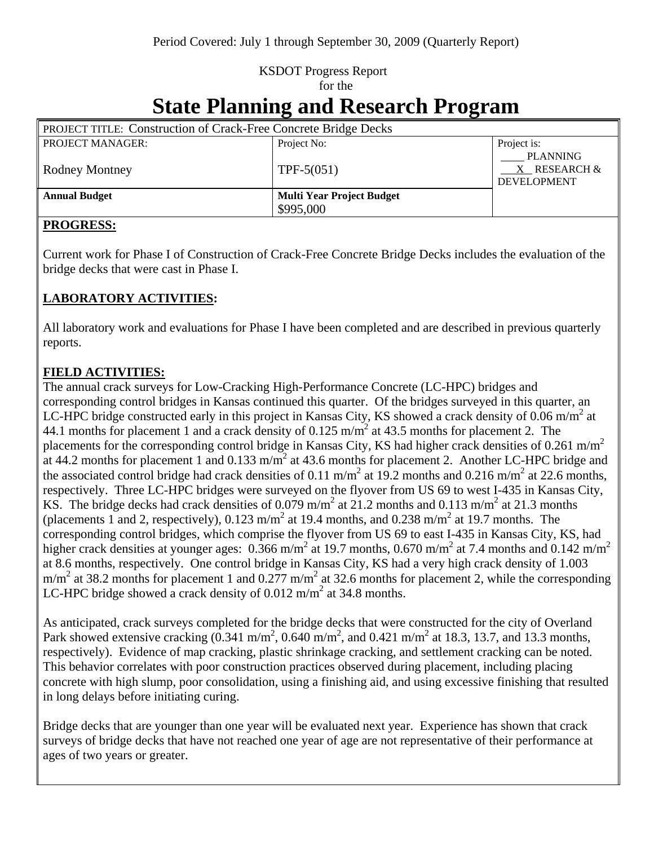## KSDOT Progress Report for the

# **State Planning and Research Program**

| <b>PROJECT TITLE: Construction of Crack-Free Concrete Bridge Decks</b> |                                  |                                                       |
|------------------------------------------------------------------------|----------------------------------|-------------------------------------------------------|
| <b>PROJECT MANAGER:</b>                                                | Project No:                      | Project is:                                           |
| <b>Rodney Montney</b>                                                  | $TPF-5(051)$                     | <b>PLANNING</b><br>X RESEARCH &<br><b>DEVELOPMENT</b> |
| <b>Annual Budget</b>                                                   | <b>Multi Year Project Budget</b> |                                                       |
|                                                                        | \$995,000                        |                                                       |

#### **PROGRESS:**

Current work for Phase I of Construction of Crack-Free Concrete Bridge Decks includes the evaluation of the bridge decks that were cast in Phase I.

#### **LABORATORY ACTIVITIES:**

All laboratory work and evaluations for Phase I have been completed and are described in previous quarterly reports.

#### **FIELD ACTIVITIES:**

The annual crack surveys for Low-Cracking High-Performance Concrete (LC-HPC) bridges and corresponding control bridges in Kansas continued this quarter. Of the bridges surveyed in this quarter, an LC-HPC bridge constructed early in this project in Kansas City, KS showed a crack density of 0.06 m/m<sup>2</sup> at 44.1 months for placement 1 and a crack density of 0.125 m/m<sup>2</sup> at 43.5 months for placement 2. The placements for the corresponding control bridge in Kansas City, KS had higher crack densities of 0.261 m/m<sup>2</sup> at 44.2 months for placement 1 and 0.133 m/m<sup>2</sup> at 43.6 months for placement 2. Another LC-HPC bridge and the associated control bridge had crack densities of 0.11 m/m<sup>2</sup> at 19.2 months and 0.216 m/m<sup>2</sup> at 22.6 months, respectively. Three LC-HPC bridges were surveyed on the flyover from US 69 to west I-435 in Kansas City, KS. The bridge decks had crack densities of 0.079 m/m<sup>2</sup> at 21.2 months and 0.113 m/m<sup>2</sup> at 21.3 months (placements 1 and 2, respectively),  $0.123 \text{ m/m}^2$  at 19.4 months, and  $0.238 \text{ m/m}^2$  at 19.7 months. The corresponding control bridges, which comprise the flyover from US 69 to east I-435 in Kansas City, KS, had higher crack densities at younger ages:  $0.366$  m/m<sup>2</sup> at 19.7 months,  $0.670$  m/m<sup>2</sup> at 7.4 months and  $0.142$  m/m<sup>2</sup> at 8.6 months, respectively. One control bridge in Kansas City, KS had a very high crack density of 1.003  $m/m<sup>2</sup>$  at 38.2 months for placement 1 and 0.277 m/m<sup>2</sup> at 32.6 months for placement 2, while the corresponding LC-HPC bridge showed a crack density of  $0.012 \text{ m/m}^2$  at 34.8 months.

As anticipated, crack surveys completed for the bridge decks that were constructed for the city of Overland Park showed extensive cracking  $(0.341 \text{ m/m}^2, 0.640 \text{ m/m}^2, \text{ and } 0.421 \text{ m/m}^2$  at 18.3, 13.7, and 13.3 months, respectively). Evidence of map cracking, plastic shrinkage cracking, and settlement cracking can be noted. This behavior correlates with poor construction practices observed during placement, including placing concrete with high slump, poor consolidation, using a finishing aid, and using excessive finishing that resulted in long delays before initiating curing.

Bridge decks that are younger than one year will be evaluated next year. Experience has shown that crack surveys of bridge decks that have not reached one year of age are not representative of their performance at ages of two years or greater.